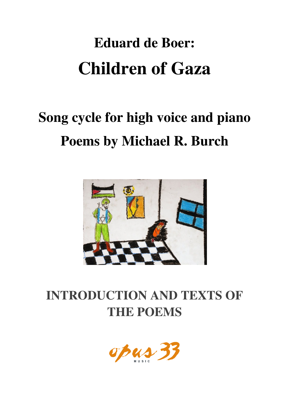# **Eduard de Boer: Children of Gaza**

## **Song cycle for high voice and piano Poems by Michael R. Burch**



### **INTRODUCTION AND TEXTS OF THE POEMS**

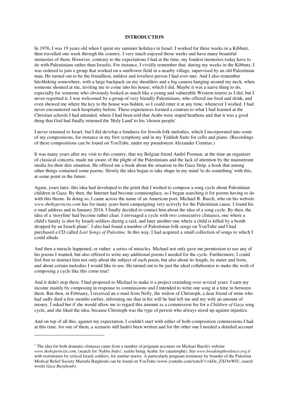#### **INTRODUCTION**

In 1976, I was 19 years old when I spent my summer holidays in Israel. I worked for three weeks in a Kibbutz, then travelled one week through the country. I very much enjoyed those weeks and have many beautiful memories of them. However, contrary to the expectations I had at the time, my fondest memories today have to do with Palestinians rather than Israelis. For instance, I vividly remember that, during my weeks in the Kibbutz, I was ordered to join a group that worked on a sunflower field in a nearby village, supervised by an old Palestinian man. He turned out to be the friendliest, mildest and loveliest person I had ever met. And I also remember hitchhiking somewhere, with a large backpack on my shoulders and a big camera hanging around my neck, when someone shouted at me, inviting me to come into his house; which I did. Maybe it was a naïve thing to do, especially for someone who obviously looked as much like a young and vulnerable Western tourist as I did, but I never regretted it. I was welcomed by a group of very friendly Palestinians, who offered me food and drink, and even showed me where the key to the house was hidden, so I could enter it at any time, whenever I wished. I had never encountered such hospitality before. These experiences formed a contrast to what I had learned at the Christian schools I had attended, where I had been told that Arabs were stupid heathens and that it was a good thing that God had finally returned the 'Holy Land' to his 'chosen people'.

I never returned to Israel, but I did develop a fondness for Jewish folk melodies, which I incorporated into some of my compositions, for instance in my first symphony and in my Yiddish Suite for cello and piano. (Recordings of these compositions can be found on YouTube, under my pseudonym Alexander Comitas.)

It was many years after my visit to this country, that my Belgian friend André Posman, at the time an organizer of classical concerts, made me aware of the plight of the Palestinians and the lack of attention by the mainstream media for their dire situation. He offered me a book about the situation in the Gaza Strip, a book that among other things contained some poems. Slowly the idea began to take shape in my mind 'to do something' with this, at some point in the future.

Again, years later, this idea had developed to the point that I wished to compose a song cycle about Palestinian children in Gaza. By then, the Internet had become commonplace, so I began searching it for poems having to do with this theme. In doing so, I came across the name of an American poet, Michael R. Burch, who on his website *www.thehypertexts.com* has for many years been campaigning very actively for the Palestinian cause. I found his e-mail address and in January 2016, I finally decided to contact him about the idea of a song cycle. By then, the idea of a 'storyline' had become rather clear. I envisaged a cycle with two consecutive climaxes, one where a child's family is shot by Israeli soldiers during a raid, and later another one where a child is killed by a bomb dropped by an Israeli plane<sup>1</sup>. I also had found a number of Palestinian folk songs on YouTube and I had purchased a CD called *Lost Songs of Palestine.* In this way, I had acquired a small collection of songs to which I could allude.

And then a miracle happened, or rather: a series of miracles. Michael not only gave me permission to use any of his poems I wanted, but also offered to write any additional poems I needed for the cycle. Furthermore, I could feel free to instruct him not only about the subject of each poem, but also about its length, its meter and form, and about certain melodies I would like to use. He turned out to be just the ideal collaborator to make the wish of composing a cycle like this come true!

And it didn't stop there. I had proposed to Michael to make it a project extending over several years. I earn my income mainly by composing in response to commissions and I intended to write one song at a time in between them. But then, in February, I received an e-mail from Nelly, the widow of Christoph, a dear friend of mine who had sadly died a few months earlier, informing me that in his will he had left me and my wife an amount of money. I asked her if she would allow me to regard this amount as a commission fee for a *Children of Gaza* song cycle, and she liked the idea, because Christoph was the type of person who always stood up against injustice.

And on top of all this, against my expectation, I couldn't start with either of both composition commissions I had at this time: for one of them, a scenario still hadn't been written and for the other one I needed a detailed account

l

<sup>&</sup>lt;sup>1</sup> The idea for both dramatic climaxes came from a number of poignant accounts on Michael Burch's website *www.thehypertexts.com*, (search for '*Nakba Index*', *nakba* being Arabic for catastrophe). See *www.breakingthesilence.org.il*  with testimonies by critical Israeli soldiers, for similar stories. A particularly poignant testimony by founder of the Palestina Medical Relief Society Mustafa Barghouti can be found on YouTube (www.youtube.com/watch?v=kDe\_ZXOwWlU, search words *Gaza Barghouti*).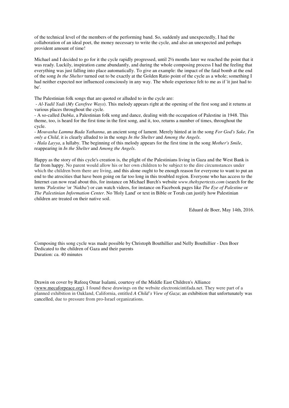of the technical level of the members of the performing band. So, suddenly and unexpectedly, I had the collaboration of an ideal poet, the money necessary to write the cycle, and also an unexpected and perhaps provident amount of time!

Michael and I decided to go for it the cycle rapidly progressed, until 2½ months later we reached the point that it was ready. Luckily, inspiration came abundantly, and during the whole composing process I had the feeling that everything was just falling into place automatically. To give an example: the impact of the fatal bomb at the end of the song *In the Shelter* turned out to be exactly at the Golden Ratio point of the cycle as a whole; something I had neither expected nor influenced consciously in any way. The whole experience felt to me as if 'it just had to be'.

The Palestinian folk songs that are quoted or alluded to in the cycle are:

 - *Al-Yadil Yadi* (*My Carefree Ways*). This melody appears right at the opening of the first song and it returns at various places throughout the cycle.

- A so-called *Dabka*, a Palestinian folk song and dance, dealing with the occupation of Palestine in 1948. This theme, too, is heard for the first time in the first song, and it, too, returns a number of times, throughout the cycle.

- *Mouvasha Lamma Bada Yathanna*, an ancient song of lament. Merely hinted at in the song *For God's Sake, I'm only a Child*, it is clearly alluded to in the songs *In the Shelter* and *Among the Angels*.

- *Hala Layya*, a lullaby. The beginning of this melody appears for the first time in the song *Mother's Smile*, reappearing in *In the Shelter* and *Among the Angels*.

Happy as the story of this cycle's creation is, the plight of the Palestinians living in Gaza and the West Bank is far from happy. No parent would allow his or her own children to be subject to the dire circumstances under which the children born there are living, and this alone ought to be enough reason for everyone to want to put an end to the atrocities that have been going on far too long in this troubled region. Everyone who has access to the Internet can now read about this, for instance on Michael Burch's website *www.thehypertexts.com* (search for the terms *'Palestine* 'or *'Nakba'*) or can watch videos, for instance on Facebook pages like *The Eye of Palestine* or *The Palestinian Information Center*. No 'Holy Land' or text in Bible or Torah can justify how Palestinian children are treated on their native soil.

Eduard de Boer, May 14th, 2016.

Composing this song cycle was made possible by Christoph Bouthillier and Nelly Bouthillier - Den Boer Dedicated to the children of Gaza and their parents Duration: ca. 40 minutes

Drawin on cover by Rafeeq Omar Isalami, courtesy of the Middle East Children's Alliance (www.mecaforpeace.org). I found these drawings on the website electronicintifada.net. They were part of a planned exhibition in Oakland, California, entitled *A Child's View of Gaza*; an exhibition that unfortunately was cancelled, due to pressure from pro-Israel organizations.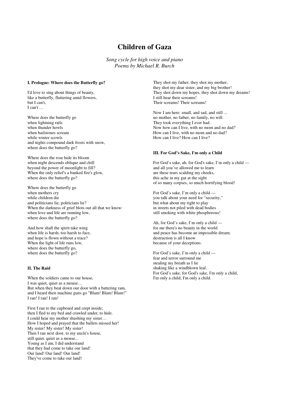### **Children of Gaza**

*Song cycle for high voice and piano Poems by Michael R. Burch* 

#### **I. Prologue: Where does the Butterfly go?**

I'd love to sing about things of beauty, like a butterfly, fluttering amid flowers, but I can't, I can't …

Where does the butterfly go when lightning rails when thunder howls when hailstones scream while winter scowls and nights compound dark frosts with snow, where does the butterfly go?

Where does the rose hide its bloom when night descends oblique and chill beyond the power of moonlight to fill? When the only relief's a banked fire's glow, where does the butterfly go?

Where does the butterfly go when mothers cry while children die and politicians lie, politicians lie? When the darkness of grief blots out all that we know: when love and life are running low, where does the butterfly go?

And how shall the spirit take wing when life is harsh, too harsh to face, and hope is flown without a trace? When the light of life runs low, where does the butterfly go, where does the butterfly go?

#### **II. The Raid**

When the soldiers came to our house, I was quiet, quiet as a mouse… But when they beat down our door with a battering ram, and I heard their machine guns go "Blam! Blam! Blam!" I ran! I ran! I ran!

First I ran to the cupboard and crept inside; then I fled to my bed and crawled under, to hide. I could hear my mother shushing my sister… How I hoped and prayed that the bullets missed her! My sister! My sister! My sister! Then I ran next door, to my uncle's house, still quiet, quiet as a mouse... Young as I am, I did understand that they had come to take our land! Our land! Our land! Our land! They've come to take our land!

They shot my father, they shot my mother, they shot my dear sister, and my big brother! They shot down my hopes, they shot down my dreams! I still hear their screams! Their screams! Their screams!

Now I am here: small, and sad, and still ... no mother, no father, no family, no will. They took everything I ever had. Now how can I live, with no mom and no dad? How can I live, with no mom and no dad? How can I live? How can I live?

#### **III. For God's Sake, I'm only a Child**

For God's sake, ah, for God's sake, I'm only a child and all you've allowed me to learn are these tears scalding my cheeks, this ache in my gut at the sight of so many corpses, so much horrifying blood!

For God's sake, I'm only a child you talk about your need for "security," but what about my right to play in streets not piled with dead bodies still smoking with white phosphorous!

Ah, for God's sake, I'm only a child for me there's no beauty in the world and peace has become an impossible dream; destruction is all I know because of your deceptions.

For God's sake, I'm only a child fear and terror surround me stealing my breath as I lie shaking like a windblown leaf. For God's sake, for God's sake, I'm only a child, I'm only a child, I'm only a child.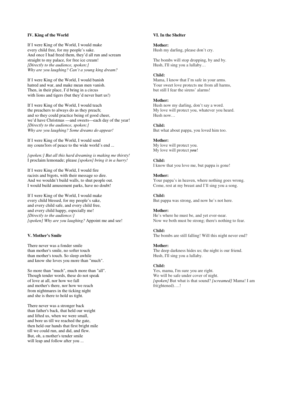#### **IV. King of the World**

If I were King of the World, I would make every child free, for my people's sake. And once I had freed them, they'd all run and scream straight to my palace, for free ice cream! *[Directly to the audience, spoken:] Why are you laughing? Can't a young king dream?* 

If I were King of the World, I would banish hatred and war, and make mean men vanish. Then, in their place, I'd bring in a circus with lions and tigers (but they'd never hurt us!)

If I were King of the World, I would teach the preachers to always do as they preach; and so they could practice being of good cheer, we'd have Christmas —and sweets—each day of the year! *[Directly to the audience, spoken:] Why are you laughing? Some dreams do appear!* 

If I were King of the World, I would send my couns'lors of peace to the wide world's end ...

*[spoken:] But all this hard dreaming is making me thirsty!*  I proclaim lemonade; please *[spoken] bring it in a hurry!* 

If I were King of the World, I would fire racists and bigots, with their message so dire. And we wouldn't build walls, to shut people out. I would build amusement parks, have no doubt!

If I were King of the World, I would make every child blessed, for my people's sake, and every child safe, and every child free, and every child happy, especially me! *[Directly to the audience:] [spoken] Why are you laughing?* Appoint me and see!

#### **V. Mother's Smile**

There never was a fonder smile than mother's smile, no softer touch than mother's touch. So sleep awhile and know she loves you more than "much".

So more than "much", much more than "all". Though tender words, these do not speak of love at all, nor how we fall and mother's there, nor how we reach from nightmares in the ticking night and she is there to hold us tight.

There never was a stronger back than father's back, that held our weight and lifted us, when we were small, and bore us till we reached the gate, then held our hands that first bright mile till we could run, and did, and flew. But, oh, a mother's tender smile will leap and follow after you ...

#### **VI. In the Shelter**

#### **Mother:**

Hush my darling, please don't cry.

The bombs will stop dropping, by and by. Hush, I'll sing you a lullaby…

#### **Child:**

Mama, I know that I'm safe in your arms. Your sweet love protects me from all harms, but still I fear the sirens' alarms!

#### **Mother:**

Hush now my darling, don't say a word. My love will protect you, whatever you heard. Hush now…

#### **Child:**

But what about pappa, you loved him too.

#### **Mother:**

My love will protect you. My love will protect *you*!

#### **Child:**

I know that you love me, but pappa is gone!

#### **Mother:**

Your pappa's in heaven, where nothing goes wrong. Come, rest at my breast and I'll sing you a song.

#### **Child:**

But pappa was strong, and now he's not here.

#### **Mother:**

He's where he must be, and yet ever-near. Now we both must be strong; there's nothing to fear.

#### **Child:**

The bombs are still falling! Will this night never end?

#### **Mother:**

The deep darkness hides us; the night is our friend. Hush, I'll sing you a lullaby.

#### **Child:**

Yes, mama, I'm sure you are right. We will be safe under cover of night. *[spoken]* But what is that sound? *[screamed]* Mama! I am fri(ghtened)....!